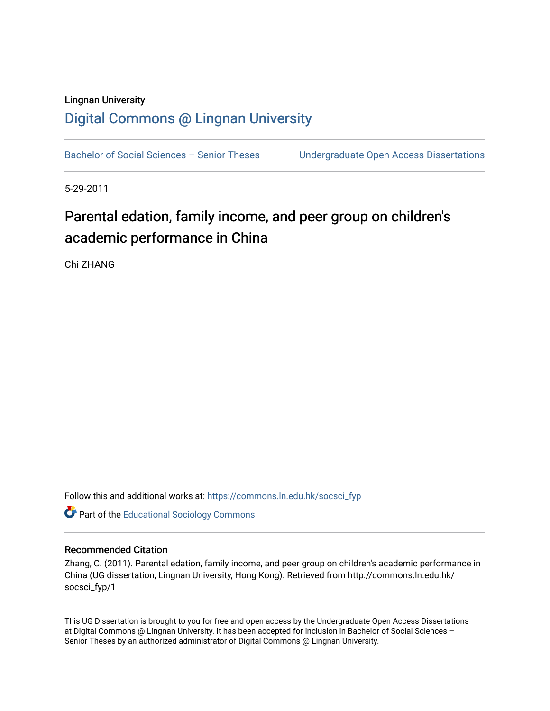## Lingnan University [Digital Commons @ Lingnan University](https://commons.ln.edu.hk/)

Bachelor of Social Sciences - Senior Theses Undergraduate Open Access Dissertations

5-29-2011

## Parental edation, family income, and peer group on children's academic performance in China

Chi ZHANG

Follow this and additional works at: [https://commons.ln.edu.hk/socsci\\_fyp](https://commons.ln.edu.hk/socsci_fyp?utm_source=commons.ln.edu.hk%2Fsocsci_fyp%2F1&utm_medium=PDF&utm_campaign=PDFCoverPages)

**C** Part of the Educational Sociology Commons

## Recommended Citation

Zhang, C. (2011). Parental edation, family income, and peer group on children's academic performance in China (UG dissertation, Lingnan University, Hong Kong). Retrieved from http://commons.ln.edu.hk/ socsci\_fyp/1

This UG Dissertation is brought to you for free and open access by the Undergraduate Open Access Dissertations at Digital Commons @ Lingnan University. It has been accepted for inclusion in Bachelor of Social Sciences – Senior Theses by an authorized administrator of Digital Commons @ Lingnan University.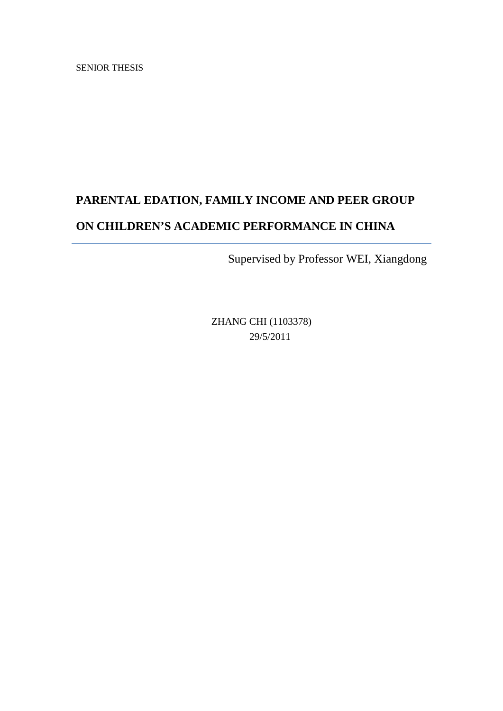SENIOR THESIS

# **PARENTAL EDATION, FAMILY INCOME AND PEER GROUP ON CHILDREN'S ACADEMIC PERFORMANCE IN CHINA**

Supervised by Professor WEI, Xiangdong

ZHANG CHI (1103378) 29/5/2011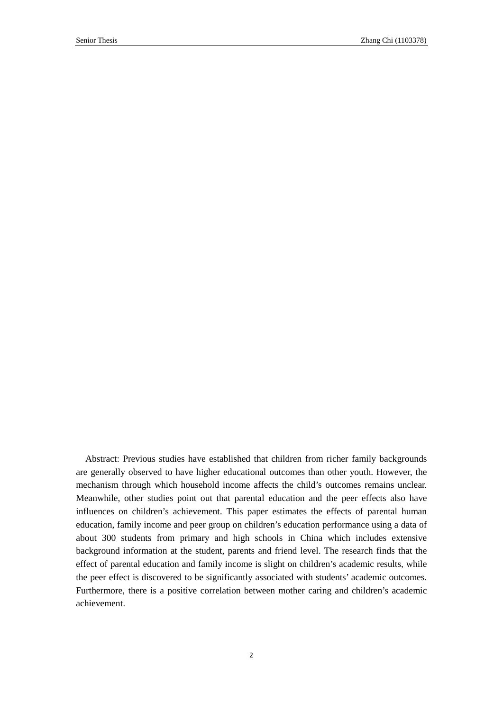Abstract: Previous studies have established that children from richer family backgrounds are generally observed to have higher educational outcomes than other youth. However, the mechanism through which household income affects the child's outcomes remains unclear. Meanwhile, other studies point out that parental education and the peer effects also have influences on children's achievement. This paper estimates the effects of parental human education, family income and peer group on children's education performance using a data of about 300 students from primary and high schools in China which includes extensive background information at the student, parents and friend level. The research finds that the effect of parental education and family income is slight on children's academic results, while the peer effect is discovered to be significantly associated with students' academic outcomes. Furthermore, there is a positive correlation between mother caring and children's academic achievement.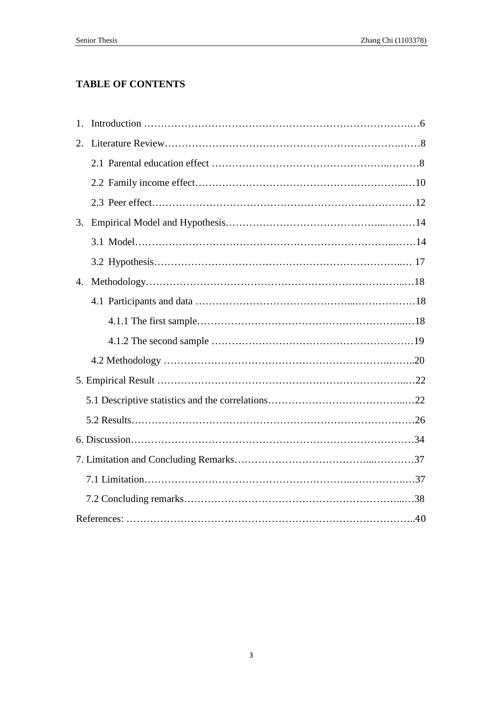## **TABLE OF CONTENTS**

| 1. |  |
|----|--|
| 2. |  |
|    |  |
|    |  |
|    |  |
| 3. |  |
|    |  |
|    |  |
| 4. |  |
|    |  |
|    |  |
|    |  |
|    |  |
|    |  |
|    |  |
|    |  |
|    |  |
|    |  |
|    |  |
|    |  |
|    |  |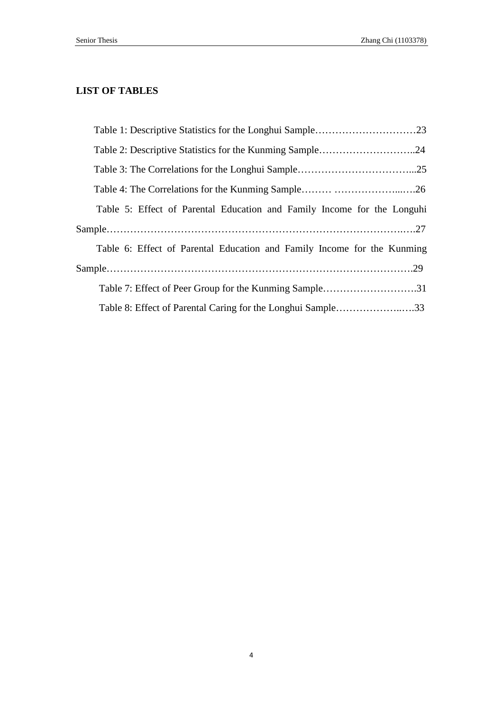## **LIST OF TABLES**

| Table 5: Effect of Parental Education and Family Income for the Longuhi |
|-------------------------------------------------------------------------|
|                                                                         |
| Table 6: Effect of Parental Education and Family Income for the Kunming |
|                                                                         |
| Table 7: Effect of Peer Group for the Kunming Sample31                  |
| Table 8: Effect of Parental Caring for the Longhui Sample33             |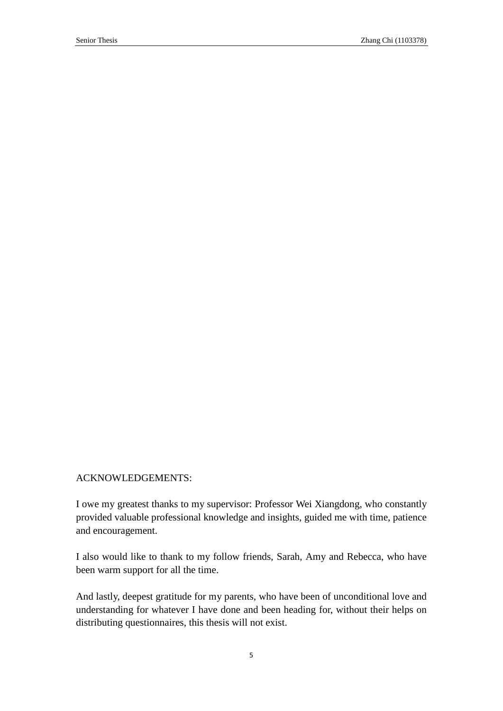## ACKNOWLEDGEMENTS:

I owe my greatest thanks to my supervisor: Professor Wei Xiangdong, who constantly provided valuable professional knowledge and insights, guided me with time, patience and encouragement.

I also would like to thank to my follow friends, Sarah, Amy and Rebecca, who have been warm support for all the time.

And lastly, deepest gratitude for my parents, who have been of unconditional love and understanding for whatever I have done and been heading for, without their helps on distributing questionnaires, this thesis will not exist.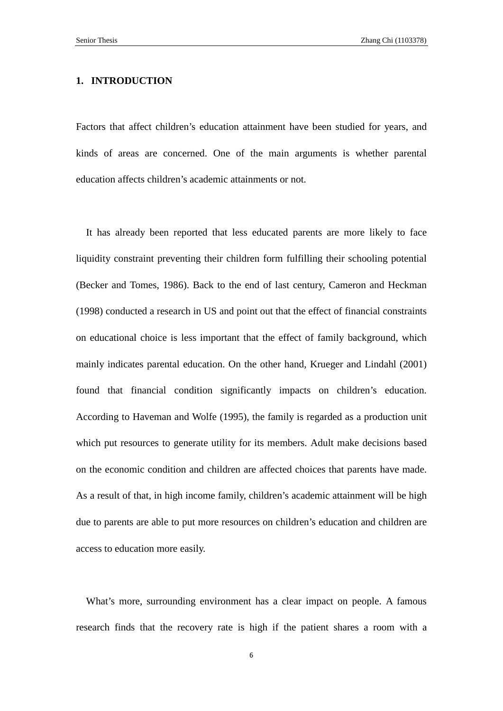## **1. INTRODUCTION**

Factors that affect children's education attainment have been studied for years, and kinds of areas are concerned. One of the main arguments is whether parental education affects children's academic attainments or not.

It has already been reported that less educated parents are more likely to face liquidity constraint preventing their children form fulfilling their schooling potential (Becker and Tomes, 1986). Back to the end of last century, Cameron and Heckman (1998) conducted a research in US and point out that the effect of financial constraints on educational choice is less important that the effect of family background, which mainly indicates parental education. On the other hand, Krueger and Lindahl (2001) found that financial condition significantly impacts on children's education. According to Haveman and Wolfe (1995), the family is regarded as a production unit which put resources to generate utility for its members. Adult make decisions based on the economic condition and children are affected choices that parents have made. As a result of that, in high income family, children's academic attainment will be high due to parents are able to put more resources on children's education and children are access to education more easily.

What's more, surrounding environment has a clear impact on people. A famous research finds that the recovery rate is high if the patient shares a room with a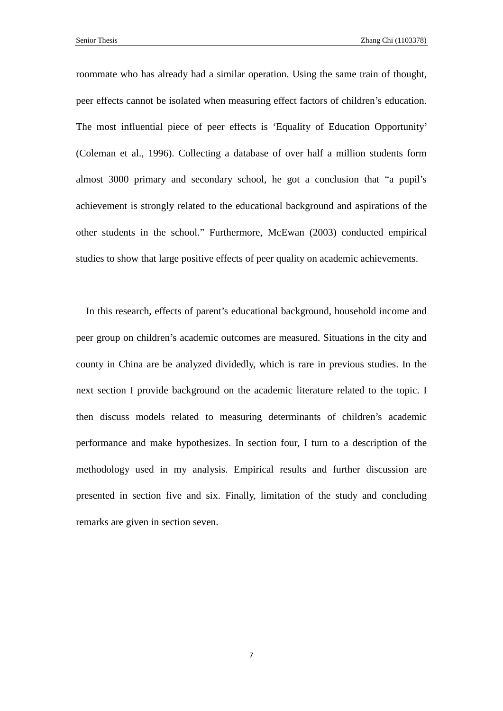roommate who has already had a similar operation. Using the same train of thought, peer effects cannot be isolated when measuring effect factors of children's education. The most influential piece of peer effects is 'Equality of Education Opportunity' (Coleman et al., 1996). Collecting a database of over half a million students form almost 3000 primary and secondary school, he got a conclusion that "a pupil's achievement is strongly related to the educational background and aspirations of the other students in the school." Furthermore, McEwan (2003) conducted empirical studies to show that large positive effects of peer quality on academic achievements.

In this research, effects of parent's educational background, household income and peer group on children's academic outcomes are measured. Situations in the city and county in China are be analyzed dividedly, which is rare in previous studies. In the next section I provide background on the academic literature related to the topic. I then discuss models related to measuring determinants of children's academic performance and make hypothesizes. In section four, I turn to a description of the methodology used in my analysis. Empirical results and further discussion are presented in section five and six. Finally, limitation of the study and concluding remarks are given in section seven.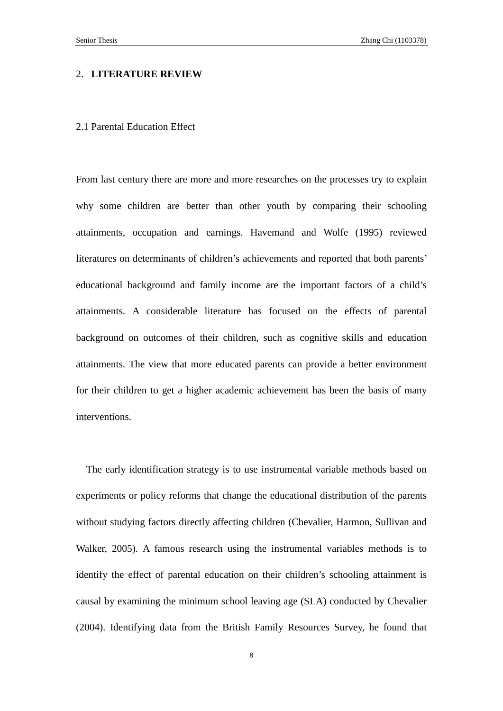#### 2. **LITERATURE REVIEW**

## 2.1 Parental Education Effect

From last century there are more and more researches on the processes try to explain why some children are better than other youth by comparing their schooling attainments, occupation and earnings. Havemand and Wolfe (1995) reviewed literatures on determinants of children's achievements and reported that both parents' educational background and family income are the important factors of a child's attainments. A considerable literature has focused on the effects of parental background on outcomes of their children, such as cognitive skills and education attainments. The view that more educated parents can provide a better environment for their children to get a higher academic achievement has been the basis of many interventions.

 The early identification strategy is to use instrumental variable methods based on experiments or policy reforms that change the educational distribution of the parents without studying factors directly affecting children (Chevalier, Harmon, Sullivan and Walker, 2005). A famous research using the instrumental variables methods is to identify the effect of parental education on their children's schooling attainment is causal by examining the minimum school leaving age (SLA) conducted by Chevalier (2004). Identifying data from the British Family Resources Survey, he found that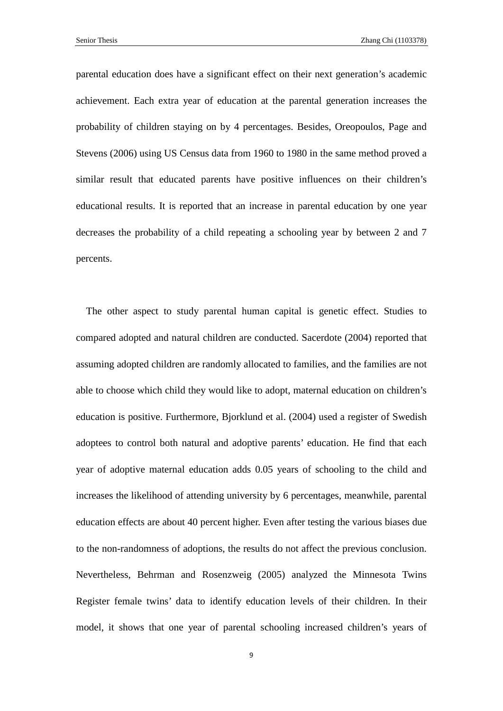parental education does have a significant effect on their next generation's academic achievement. Each extra year of education at the parental generation increases the probability of children staying on by 4 percentages. Besides, Oreopoulos, Page and Stevens (2006) using US Census data from 1960 to 1980 in the same method proved a similar result that educated parents have positive influences on their children's educational results. It is reported that an increase in parental education by one year decreases the probability of a child repeating a schooling year by between 2 and 7 percents.

The other aspect to study parental human capital is genetic effect. Studies to compared adopted and natural children are conducted. Sacerdote (2004) reported that assuming adopted children are randomly allocated to families, and the families are not able to choose which child they would like to adopt, maternal education on children's education is positive. Furthermore, Bjorklund et al. (2004) used a register of Swedish adoptees to control both natural and adoptive parents' education. He find that each year of adoptive maternal education adds 0.05 years of schooling to the child and increases the likelihood of attending university by 6 percentages, meanwhile, parental education effects are about 40 percent higher. Even after testing the various biases due to the non-randomness of adoptions, the results do not affect the previous conclusion. Nevertheless, Behrman and Rosenzweig (2005) analyzed the Minnesota Twins Register female twins' data to identify education levels of their children. In their model, it shows that one year of parental schooling increased children's years of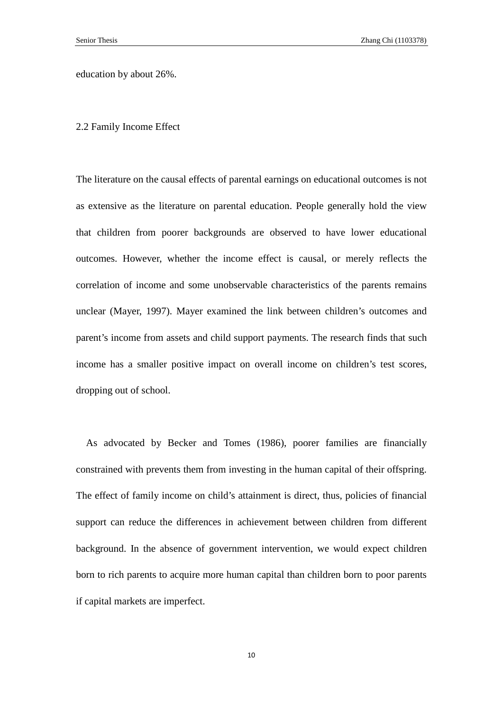education by about 26%.

#### 2.2 Family Income Effect

The literature on the causal effects of parental earnings on educational outcomes is not as extensive as the literature on parental education. People generally hold the view that children from poorer backgrounds are observed to have lower educational outcomes. However, whether the income effect is causal, or merely reflects the correlation of income and some unobservable characteristics of the parents remains unclear (Mayer, 1997). Mayer examined the link between children's outcomes and parent's income from assets and child support payments. The research finds that such income has a smaller positive impact on overall income on children's test scores, dropping out of school.

 As advocated by Becker and Tomes (1986), poorer families are financially constrained with prevents them from investing in the human capital of their offspring. The effect of family income on child's attainment is direct, thus, policies of financial support can reduce the differences in achievement between children from different background. In the absence of government intervention, we would expect children born to rich parents to acquire more human capital than children born to poor parents if capital markets are imperfect.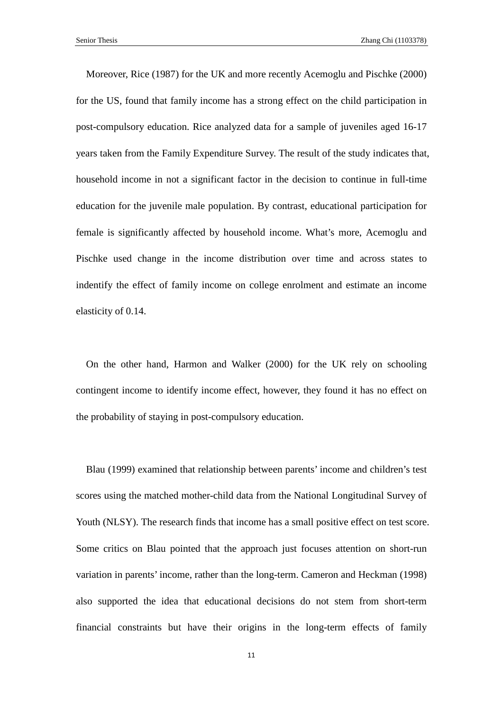Moreover, Rice (1987) for the UK and more recently Acemoglu and Pischke (2000) for the US, found that family income has a strong effect on the child participation in post-compulsory education. Rice analyzed data for a sample of juveniles aged 16-17 years taken from the Family Expenditure Survey. The result of the study indicates that, household income in not a significant factor in the decision to continue in full-time education for the juvenile male population. By contrast, educational participation for female is significantly affected by household income. What's more, Acemoglu and Pischke used change in the income distribution over time and across states to indentify the effect of family income on college enrolment and estimate an income elasticity of 0.14.

 On the other hand, Harmon and Walker (2000) for the UK rely on schooling contingent income to identify income effect, however, they found it has no effect on the probability of staying in post-compulsory education.

 Blau (1999) examined that relationship between parents' income and children's test scores using the matched mother-child data from the National Longitudinal Survey of Youth (NLSY). The research finds that income has a small positive effect on test score. Some critics on Blau pointed that the approach just focuses attention on short-run variation in parents' income, rather than the long-term. Cameron and Heckman (1998) also supported the idea that educational decisions do not stem from short-term financial constraints but have their origins in the long-term effects of family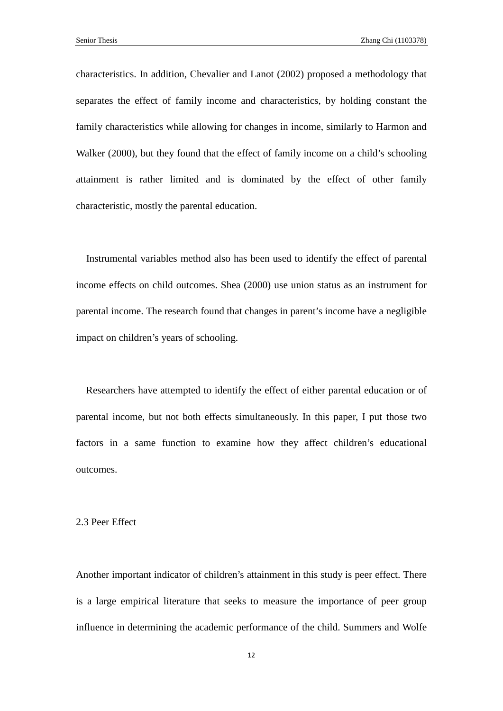characteristics. In addition, Chevalier and Lanot (2002) proposed a methodology that separates the effect of family income and characteristics, by holding constant the family characteristics while allowing for changes in income, similarly to Harmon and Walker (2000), but they found that the effect of family income on a child's schooling attainment is rather limited and is dominated by the effect of other family characteristic, mostly the parental education.

 Instrumental variables method also has been used to identify the effect of parental income effects on child outcomes. Shea (2000) use union status as an instrument for parental income. The research found that changes in parent's income have a negligible impact on children's years of schooling.

 Researchers have attempted to identify the effect of either parental education or of parental income, but not both effects simultaneously. In this paper, I put those two factors in a same function to examine how they affect children's educational outcomes.

## 2.3 Peer Effect

Another important indicator of children's attainment in this study is peer effect. There is a large empirical literature that seeks to measure the importance of peer group influence in determining the academic performance of the child. Summers and Wolfe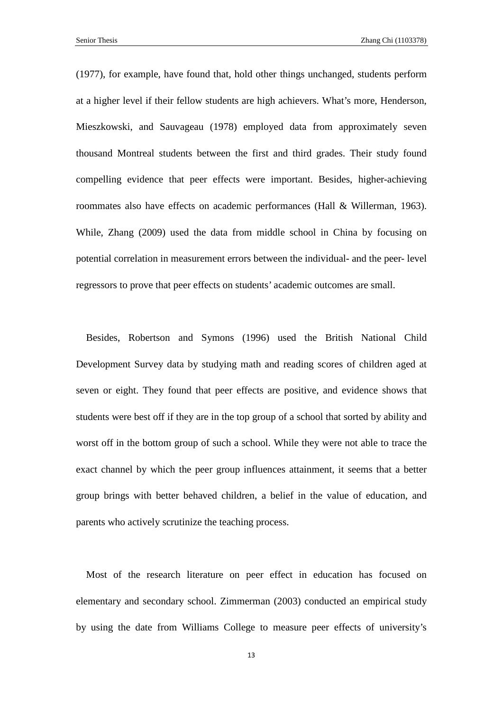(1977), for example, have found that, hold other things unchanged, students perform at a higher level if their fellow students are high achievers. What's more, Henderson, Mieszkowski, and Sauvageau (1978) employed data from approximately seven thousand Montreal students between the first and third grades. Their study found compelling evidence that peer effects were important. Besides, higher-achieving roommates also have effects on academic performances (Hall & Willerman, 1963). While, Zhang (2009) used the data from middle school in China by focusing on potential correlation in measurement errors between the individual- and the peer- level regressors to prove that peer effects on students' academic outcomes are small.

 Besides, Robertson and Symons (1996) used the British National Child Development Survey data by studying math and reading scores of children aged at seven or eight. They found that peer effects are positive, and evidence shows that students were best off if they are in the top group of a school that sorted by ability and worst off in the bottom group of such a school. While they were not able to trace the exact channel by which the peer group influences attainment, it seems that a better group brings with better behaved children, a belief in the value of education, and parents who actively scrutinize the teaching process.

 Most of the research literature on peer effect in education has focused on elementary and secondary school. Zimmerman (2003) conducted an empirical study by using the date from Williams College to measure peer effects of university's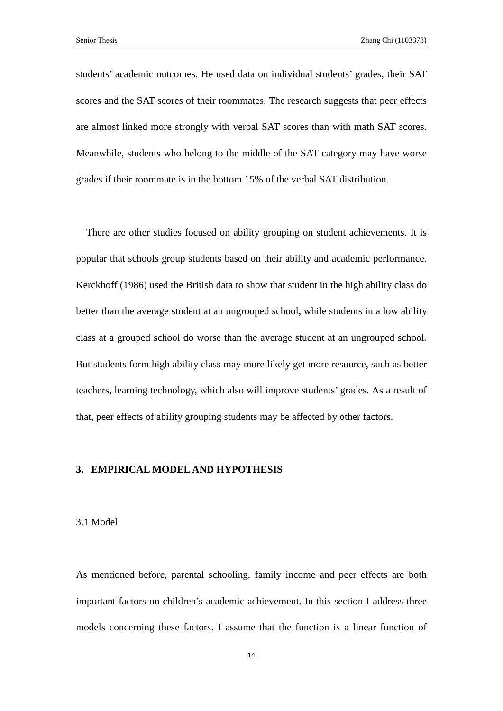students' academic outcomes. He used data on individual students' grades, their SAT scores and the SAT scores of their roommates. The research suggests that peer effects are almost linked more strongly with verbal SAT scores than with math SAT scores. Meanwhile, students who belong to the middle of the SAT category may have worse grades if their roommate is in the bottom 15% of the verbal SAT distribution.

 There are other studies focused on ability grouping on student achievements. It is popular that schools group students based on their ability and academic performance. Kerckhoff (1986) used the British data to show that student in the high ability class do better than the average student at an ungrouped school, while students in a low ability class at a grouped school do worse than the average student at an ungrouped school. But students form high ability class may more likely get more resource, such as better teachers, learning technology, which also will improve students' grades. As a result of that, peer effects of ability grouping students may be affected by other factors.

### **3. EMPIRICAL MODEL AND HYPOTHESIS**

## 3.1 Model

As mentioned before, parental schooling, family income and peer effects are both important factors on children's academic achievement. In this section I address three models concerning these factors. I assume that the function is a linear function of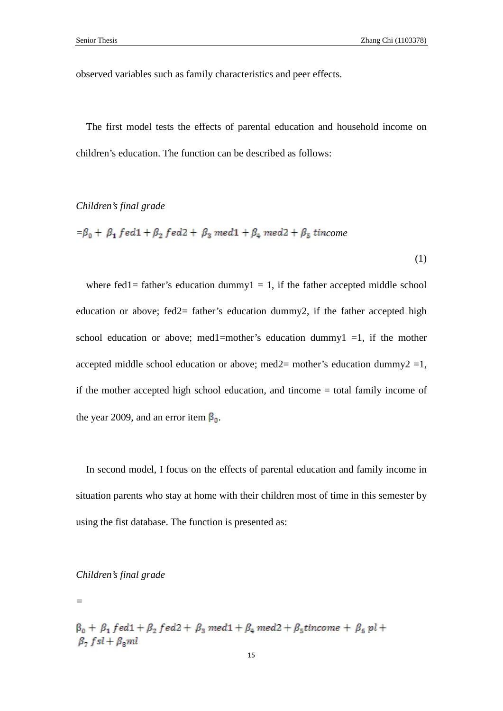(1)

observed variables such as family characteristics and peer effects.

The first model tests the effects of parental education and household income on children's education. The function can be described as follows:

#### *Children's final grade*

 $=\beta_0 + \beta_1$  fed1 +  $\beta_2$  fed2 +  $\beta_3$  med1 +  $\beta_4$  med2 +  $\beta_5$  tincome

where fed1= father's education dummy1 = 1, if the father accepted middle school education or above; fed2= father's education dummy2, if the father accepted high school education or above; med1=mother's education dummy1 =1, if the mother accepted middle school education or above; med $2=$  mother's education dummy $2=1$ , if the mother accepted high school education, and tincome = total family income of the year 2009, and an error item  $\beta_0$ .

In second model, I focus on the effects of parental education and family income in situation parents who stay at home with their children most of time in this semester by using the fist database. The function is presented as:

*Children's final grade*

*=*

$$
\beta_0 + \beta_1 \text{fed1} + \beta_2 \text{ fed2} + \beta_3 \text{ med1} + \beta_4 \text{ med2} + \beta_5 \text{tincome} + \beta_6 \text{ pl} + \beta_7 \text{ fd} + \beta_8 \text{ ml}
$$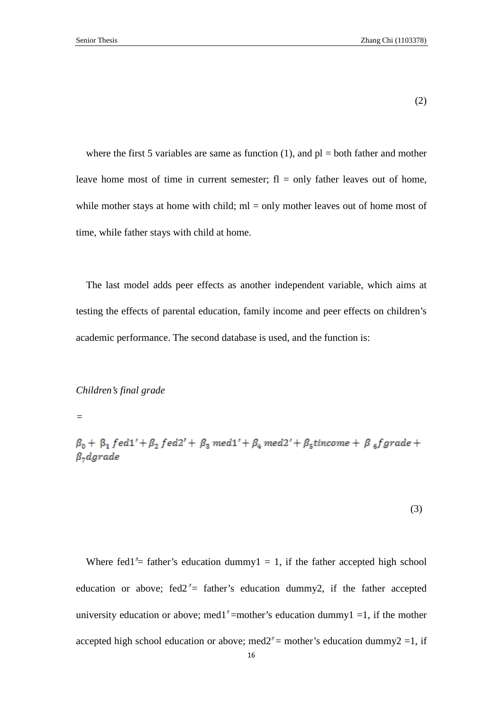(2)

where the first 5 variables are same as function (1), and  $\mathbf{p} = \mathbf{b}$  and father and mother leave home most of time in current semester;  $fl = only$  father leaves out of home, while mother stays at home with child;  $ml = only mother leaves out of home most of$ time, while father stays with child at home.

The last model adds peer effects as another independent variable, which aims at testing the effects of parental education, family income and peer effects on children's academic performance. The second database is used, and the function is:

*Children's final grade*

*=*

 $\beta_0 + \beta_1 fed1' + \beta_2 fed2' + \beta_3 med1' + \beta_4 med2' + \beta_5 tincome + \beta_6 fgrade +$  $\beta_7$ dgrade

$$
(3)
$$

Where fed1<sup> $\ell$ </sup> = father's education dummy1 = 1, if the father accepted high school education or above; fed $2^{\ell}$  father's education dummy2, if the father accepted university education or above; med<sup>1</sup><sup> $\text{I}$ </sup>=mother's education dummy1 =1, if the mother accepted high school education or above; med $2^*$  = mother's education dummy2 =1, if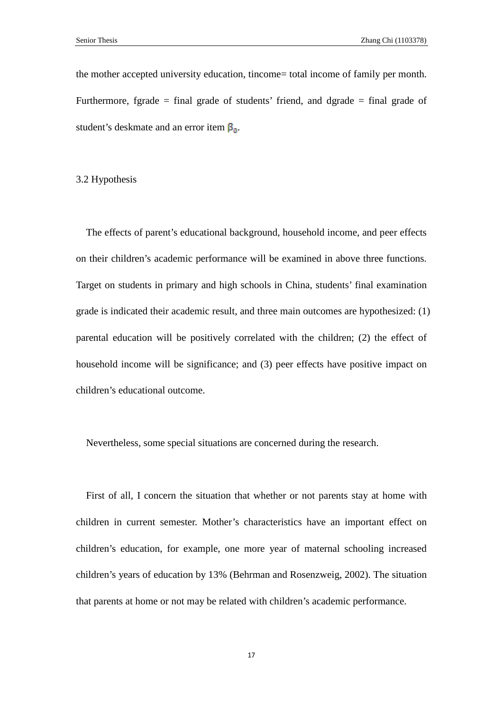the mother accepted university education, tincome= total income of family per month. Furthermore, fgrade  $=$  final grade of students' friend, and dgrade  $=$  final grade of student's deskmate and an error item  $\beta_0$ .

### 3.2 Hypothesis

The effects of parent's educational background, household income, and peer effects on their children's academic performance will be examined in above three functions. Target on students in primary and high schools in China, students' final examination grade is indicated their academic result, and three main outcomes are hypothesized: (1) parental education will be positively correlated with the children; (2) the effect of household income will be significance; and (3) peer effects have positive impact on children's educational outcome.

Nevertheless, some special situations are concerned during the research.

First of all, I concern the situation that whether or not parents stay at home with children in current semester. Mother's characteristics have an important effect on children's education, for example, one more year of maternal schooling increased children's years of education by 13% (Behrman and Rosenzweig, 2002). The situation that parents at home or not may be related with children's academic performance.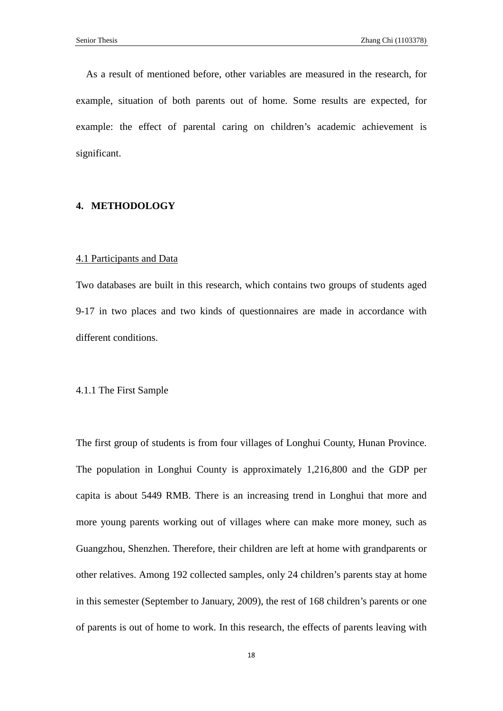As a result of mentioned before, other variables are measured in the research, for example, situation of both parents out of home. Some results are expected, for example: the effect of parental caring on children's academic achievement is significant.

## **4. METHODOLOGY**

#### 4.1 Participants and Data

Two databases are built in this research, which contains two groups of students aged 9-17 in two places and two kinds of questionnaires are made in accordance with different conditions.

4.1.1 The First Sample

The first group of students is from four villages of Longhui County, Hunan Province. The population in Longhui County is approximately 1,216,800 and the GDP per capita is about 5449 RMB. There is an increasing trend in Longhui that more and more young parents working out of villages where can make more money, such as Guangzhou, Shenzhen. Therefore, their children are left at home with grandparents or other relatives. Among 192 collected samples, only 24 children's parents stay at home in this semester (September to January, 2009), the rest of 168 children's parents or one of parents is out of home to work. In this research, the effects of parents leaving with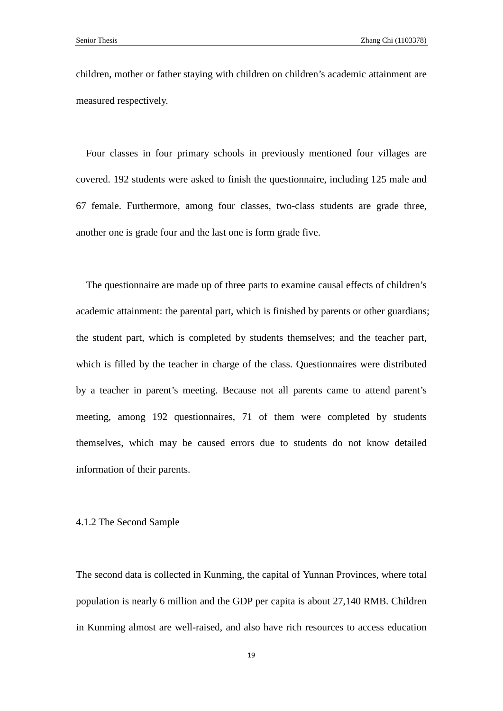children, mother or father staying with children on children's academic attainment are measured respectively.

Four classes in four primary schools in previously mentioned four villages are covered. 192 students were asked to finish the questionnaire, including 125 male and 67 female. Furthermore, among four classes, two-class students are grade three, another one is grade four and the last one is form grade five.

The questionnaire are made up of three parts to examine causal effects of children's academic attainment: the parental part, which is finished by parents or other guardians; the student part, which is completed by students themselves; and the teacher part, which is filled by the teacher in charge of the class. Questionnaires were distributed by a teacher in parent's meeting. Because not all parents came to attend parent's meeting, among 192 questionnaires, 71 of them were completed by students themselves, which may be caused errors due to students do not know detailed information of their parents.

#### 4.1.2 The Second Sample

The second data is collected in Kunming, the capital of Yunnan Provinces, where total population is nearly 6 million and the GDP per capita is about 27,140 RMB. Children in Kunming almost are well-raised, and also have rich resources to access education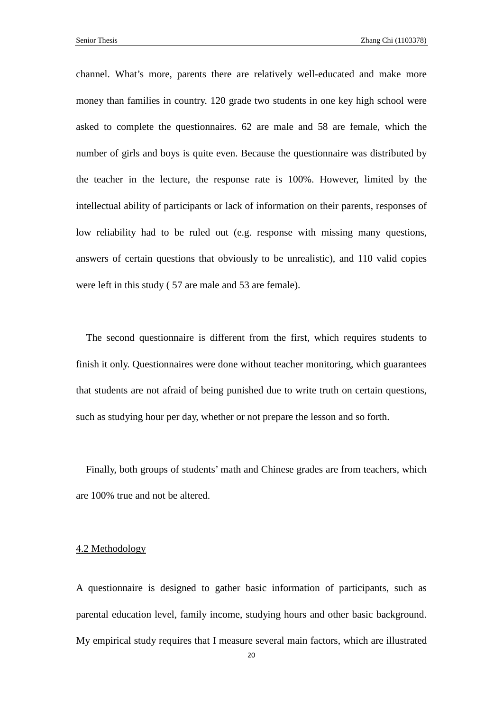channel. What's more, parents there are relatively well-educated and make more money than families in country. 120 grade two students in one key high school were asked to complete the questionnaires. 62 are male and 58 are female, which the number of girls and boys is quite even. Because the questionnaire was distributed by the teacher in the lecture, the response rate is 100%. However, limited by the intellectual ability of participants or lack of information on their parents, responses of low reliability had to be ruled out (e.g. response with missing many questions, answers of certain questions that obviously to be unrealistic), and 110 valid copies were left in this study ( 57 are male and 53 are female).

The second questionnaire is different from the first, which requires students to finish it only. Questionnaires were done without teacher monitoring, which guarantees that students are not afraid of being punished due to write truth on certain questions, such as studying hour per day, whether or not prepare the lesson and so forth.

Finally, both groups of students' math and Chinese grades are from teachers, which are 100% true and not be altered.

#### 4.2 Methodology

A questionnaire is designed to gather basic information of participants, such as parental education level, family income, studying hours and other basic background. My empirical study requires that I measure several main factors, which are illustrated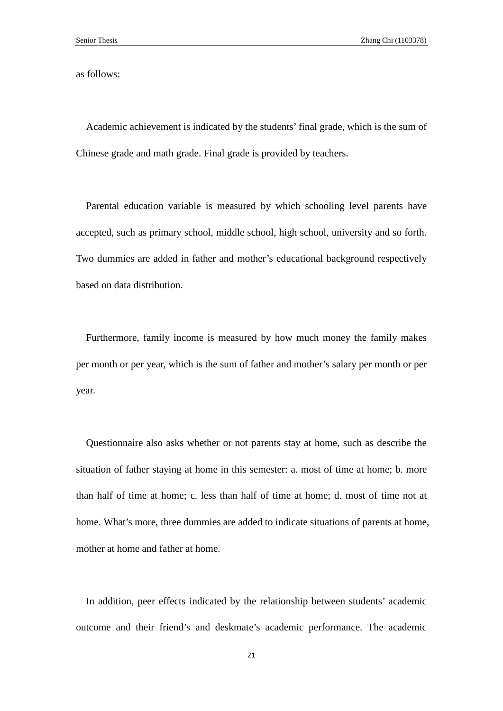as follows:

Academic achievement is indicated by the students' final grade, which is the sum of Chinese grade and math grade. Final grade is provided by teachers.

Parental education variable is measured by which schooling level parents have accepted, such as primary school, middle school, high school, university and so forth. Two dummies are added in father and mother's educational background respectively based on data distribution.

Furthermore, family income is measured by how much money the family makes per month or per year, which is the sum of father and mother's salary per month or per year.

Questionnaire also asks whether or not parents stay at home, such as describe the situation of father staying at home in this semester: a. most of time at home; b. more than half of time at home; c. less than half of time at home; d. most of time not at home. What's more, three dummies are added to indicate situations of parents at home, mother at home and father at home.

In addition, peer effects indicated by the relationship between students' academic outcome and their friend's and deskmate's academic performance. The academic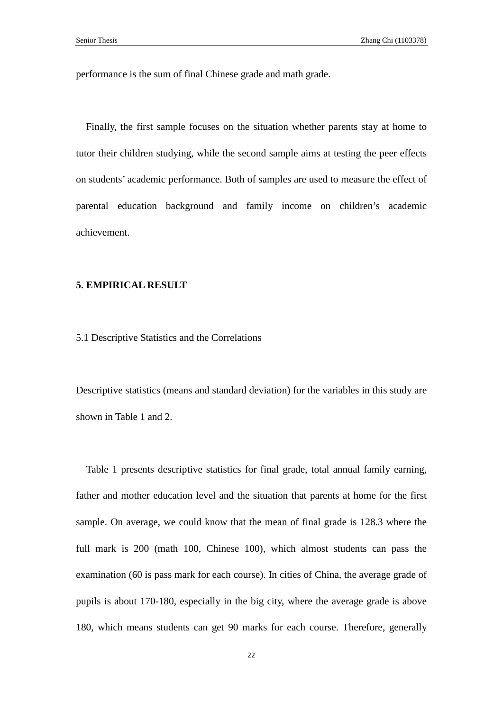performance is the sum of final Chinese grade and math grade.

Finally, the first sample focuses on the situation whether parents stay at home to tutor their children studying, while the second sample aims at testing the peer effects on students' academic performance. Both of samples are used to measure the effect of parental education background and family income on children's academic achievement.

## **5. EMPIRICAL RESULT**

5.1 Descriptive Statistics and the Correlations

Descriptive statistics (means and standard deviation) for the variables in this study are shown in Table 1 and 2.

Table 1 presents descriptive statistics for final grade, total annual family earning, father and mother education level and the situation that parents at home for the first sample. On average, we could know that the mean of final grade is 128.3 where the full mark is 200 (math 100, Chinese 100), which almost students can pass the examination (60 is pass mark for each course). In cities of China, the average grade of pupils is about 170-180, especially in the big city, where the average grade is above 180, which means students can get 90 marks for each course. Therefore, generally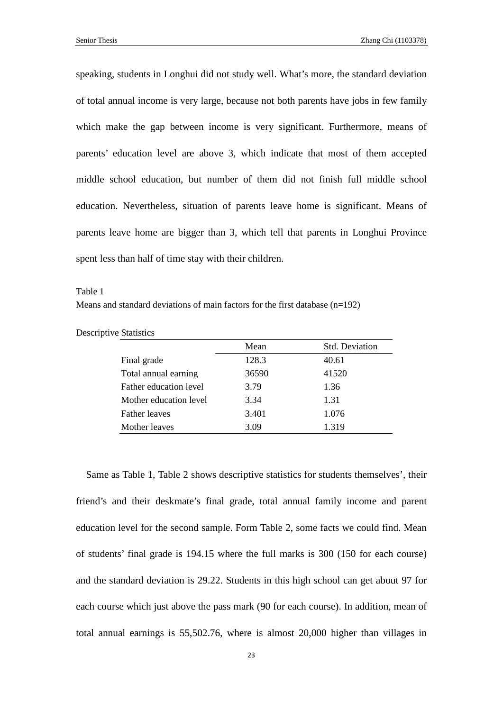speaking, students in Longhui did not study well. What's more, the standard deviation of total annual income is very large, because not both parents have jobs in few family which make the gap between income is very significant. Furthermore, means of parents' education level are above 3, which indicate that most of them accepted middle school education, but number of them did not finish full middle school education. Nevertheless, situation of parents leave home is significant. Means of parents leave home are bigger than 3, which tell that parents in Longhui Province spent less than half of time stay with their children.

#### Table 1

Descriptive Statistics

Means and standard deviations of main factors for the first database (n=192)

|                        | Mean  | <b>Std. Deviation</b> |
|------------------------|-------|-----------------------|
| Final grade            | 128.3 | 40.61                 |
| Total annual earning   | 36590 | 41520                 |
| Father education level | 3.79  | 1.36                  |
| Mother education level | 3.34  | 1.31                  |
| <b>Father leaves</b>   | 3.401 | 1.076                 |
| Mother leaves          | 3.09  | 1.319                 |

Same as Table 1, Table 2 shows descriptive statistics for students themselves', their friend's and their deskmate's final grade, total annual family income and parent education level for the second sample. Form Table 2, some facts we could find. Mean of students' final grade is 194.15 where the full marks is 300 (150 for each course) and the standard deviation is 29.22. Students in this high school can get about 97 for each course which just above the pass mark (90 for each course). In addition, mean of total annual earnings is 55,502.76, where is almost 20,000 higher than villages in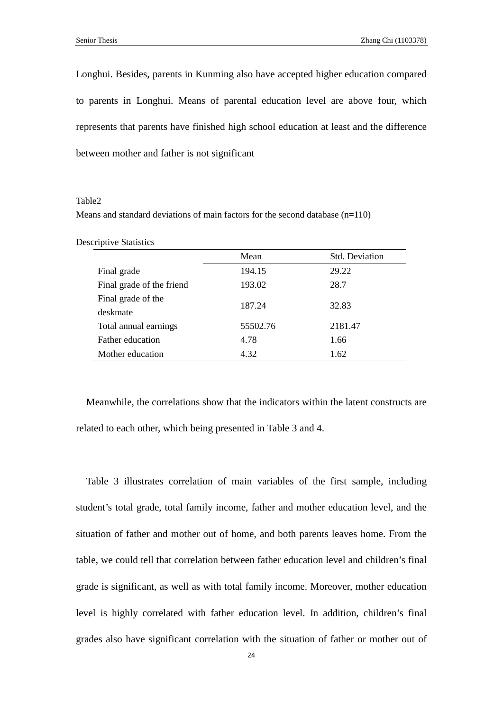Longhui. Besides, parents in Kunming also have accepted higher education compared to parents in Longhui. Means of parental education level are above four, which represents that parents have finished high school education at least and the difference between mother and father is not significant

#### Table2

Descriptive Statistics

Means and standard deviations of main factors for the second database (n=110)

|                           | Mean     | <b>Std.</b> Deviation |
|---------------------------|----------|-----------------------|
| Final grade               | 194.15   | 29.22                 |
| Final grade of the friend | 193.02   | 28.7                  |
| Final grade of the        |          |                       |
| deskmate                  | 187.24   | 32.83                 |
| Total annual earnings     | 55502.76 | 2181.47               |
| Father education          | 4.78     | 1.66                  |
| Mother education          | 4.32     | 1.62                  |

Meanwhile, the correlations show that the indicators within the latent constructs are related to each other, which being presented in Table 3 and 4.

Table 3 illustrates correlation of main variables of the first sample, including student's total grade, total family income, father and mother education level, and the situation of father and mother out of home, and both parents leaves home. From the table, we could tell that correlation between father education level and children's final grade is significant, as well as with total family income. Moreover, mother education level is highly correlated with father education level. In addition, children's final grades also have significant correlation with the situation of father or mother out of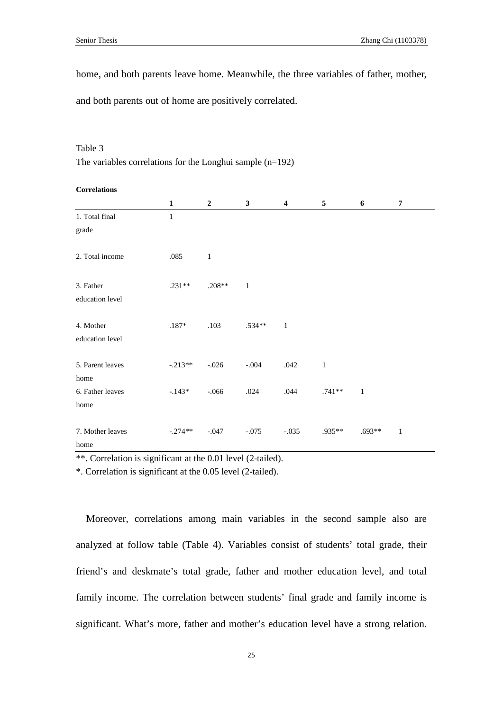home, and both parents leave home. Meanwhile, the three variables of father, mother,

and both parents out of home are positively correlated.

## Table 3 The variables correlations for the Longhui sample (n=192)

#### **Correlations**

|                              | $\mathbf 1$  | $\boldsymbol{2}$ | $\mathbf{3}$ | $\overline{\mathbf{4}}$ | 5            | 6            | $\overline{7}$ |  |
|------------------------------|--------------|------------------|--------------|-------------------------|--------------|--------------|----------------|--|
| 1. Total final               | $\mathbf{1}$ |                  |              |                         |              |              |                |  |
| grade                        |              |                  |              |                         |              |              |                |  |
| 2. Total income              | .085         | $\mathbf{1}$     |              |                         |              |              |                |  |
| 3. Father<br>education level | $.231**$     | $.208**$         | $\mathbf{1}$ |                         |              |              |                |  |
| 4. Mother<br>education level | $.187*$      | .103             | $.534**$     | $\mathbf{1}$            |              |              |                |  |
| 5. Parent leaves<br>home     | $-.213**$    | $-.026$          | $-.004$      | .042                    | $\mathbf{1}$ |              |                |  |
| 6. Father leaves<br>home     | $-143*$      | $-.066$          | .024         | .044                    | $.741**$     | $\mathbf{1}$ |                |  |
| 7. Mother leaves<br>home     | $-.274**$    | $-.047$          | $-.075$      | $-.035$                 | $.935**$     | $.693**$     | $\mathbf{1}$   |  |

\*\*. Correlation is significant at the 0.01 level (2-tailed).

\*. Correlation is significant at the 0.05 level (2-tailed).

Moreover, correlations among main variables in the second sample also are analyzed at follow table (Table 4). Variables consist of students' total grade, their friend's and deskmate's total grade, father and mother education level, and total family income. The correlation between students' final grade and family income is significant. What's more, father and mother's education level have a strong relation.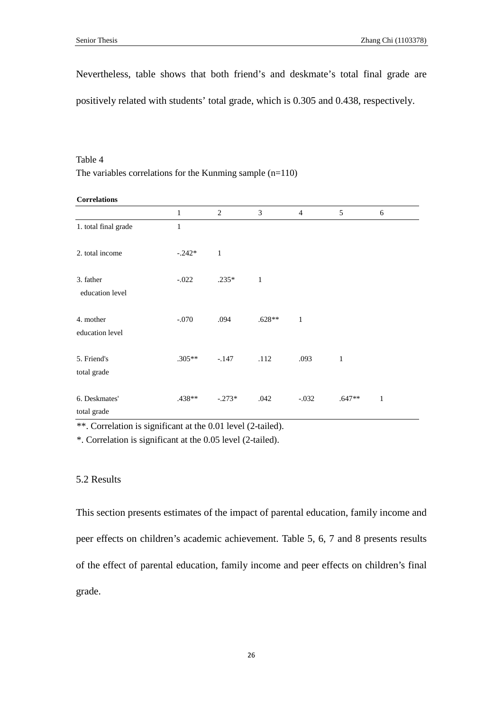Nevertheless, table shows that both friend's and deskmate's total final grade are positively related with students' total grade, which is 0.305 and 0.438, respectively.

## Table 4 The variables correlations for the Kunming sample (n=110)

| <b>Correlations</b>          |              |              |                |                |              |   |  |
|------------------------------|--------------|--------------|----------------|----------------|--------------|---|--|
|                              | $\mathbf{1}$ | 2            | $\mathfrak{Z}$ | $\overline{4}$ | 5            | 6 |  |
| 1. total final grade         | 1            |              |                |                |              |   |  |
| 2. total income              | $-.242*$     | $\mathbf{1}$ |                |                |              |   |  |
| 3. father<br>education level | $-.022$      | $.235*$      | $\mathbf{1}$   |                |              |   |  |
| 4. mother<br>education level | $-.070$      | .094         | $.628**$       | $\mathbf{1}$   |              |   |  |
| 5. Friend's<br>total grade   | $.305**$     | $-.147$      | .112           | .093           | $\mathbf{1}$ |   |  |
| 6. Deskmates'<br>total grade | .438**       | $-.273*$     | .042           | $-.032$        | $.647**$     | 1 |  |

\*\*. Correlation is significant at the 0.01 level (2-tailed).

\*. Correlation is significant at the 0.05 level (2-tailed).

## 5.2 Results

This section presents estimates of the impact of parental education, family income and peer effects on children's academic achievement. Table 5, 6, 7 and 8 presents results of the effect of parental education, family income and peer effects on children's final grade.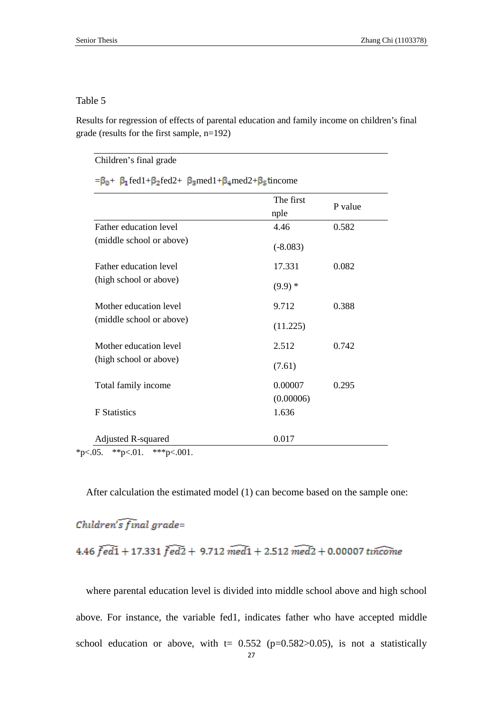## Table 5

Results for regression of effects of parental education and family income on children's final grade (results for the first sample, n=192)

Children's final grade

 $=\beta_0 + \beta_1 \text{fed } 1 + \beta_2 \text{fed } 2 + \beta_3 \text{ med } 1 + \beta_4 \text{ med } 2 + \beta_5 \text{ tincome }$ 

|                           | The first<br>nple    | P value |
|---------------------------|----------------------|---------|
| Father education level    | 4.46                 | 0.582   |
| (middle school or above)  | $(-8.083)$           |         |
| Father education level    | 17.331               | 0.082   |
| (high school or above)    | $(9.9)*$             |         |
| Mother education level    | 9.712                | 0.388   |
| (middle school or above)  | (11.225)             |         |
| Mother education level    | 2.512                | 0.742   |
| (high school or above)    | (7.61)               |         |
| Total family income       | 0.00007<br>(0.00006) | 0.295   |
| <b>F</b> Statistics       | 1.636                |         |
| <b>Adjusted R-squared</b> | 0.017                |         |

\*p<.05. \*\*p<.01. \*\*\*p<.001.

After calculation the estimated model (1) can become based on the sample one:

## *Children's* final grade=

 $4.46 \ \widehat{fed1} + 17.331 \ \widehat{fed2} + 9.712 \ \widehat{med1} + 2.512 \ \widehat{med2} + 0.00007 \ \widehat{t}$ 

where parental education level is divided into middle school above and high school above. For instance, the variable fed1, indicates father who have accepted middle school education or above, with  $t= 0.552$  (p=0.582>0.05), is not a statistically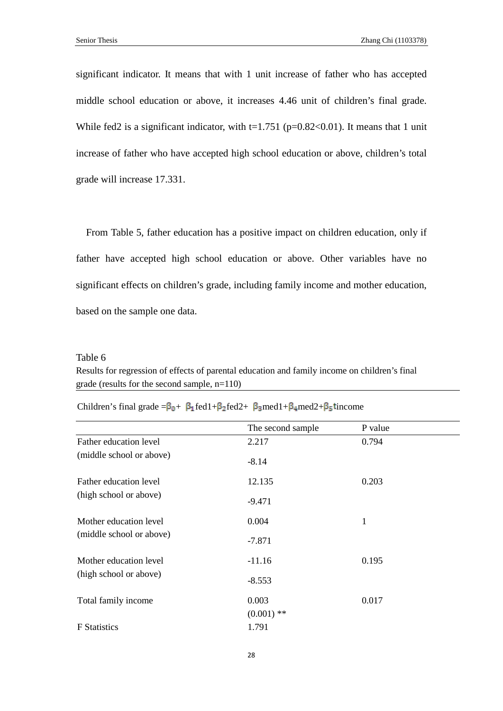significant indicator. It means that with 1 unit increase of father who has accepted middle school education or above, it increases 4.46 unit of children's final grade. While fed2 is a significant indicator, with  $t=1.751$  (p=0.82<0.01). It means that 1 unit increase of father who have accepted high school education or above, children's total grade will increase 17.331.

From Table 5, father education has a positive impact on children education, only if father have accepted high school education or above. Other variables have no significant effects on children's grade, including family income and mother education, based on the sample one data.

#### Table 6

Results for regression of effects of parental education and family income on children's final grade (results for the second sample, n=110)

|                          | The second sample | P value |
|--------------------------|-------------------|---------|
| Father education level   | 2.217             | 0.794   |
| (middle school or above) | $-8.14$           |         |
| Father education level   | 12.135            | 0.203   |
| (high school or above)   | $-9.471$          |         |
| Mother education level   | 0.004             | 1       |
| (middle school or above) | $-7.871$          |         |
| Mother education level   | $-11.16$          | 0.195   |
| (high school or above)   | $-8.553$          |         |
| Total family income      | 0.003             | 0.017   |
|                          | $(0.001)$ **      |         |
| <b>F</b> Statistics      | 1.791             |         |

|  |  | Children's final grade $=\beta_0 + \beta_1$ fed $1 + \beta_2$ fed $2 + \beta_3$ med $1 + \beta_4$ med $2 + \beta_5$ tincome |
|--|--|-----------------------------------------------------------------------------------------------------------------------------|
|--|--|-----------------------------------------------------------------------------------------------------------------------------|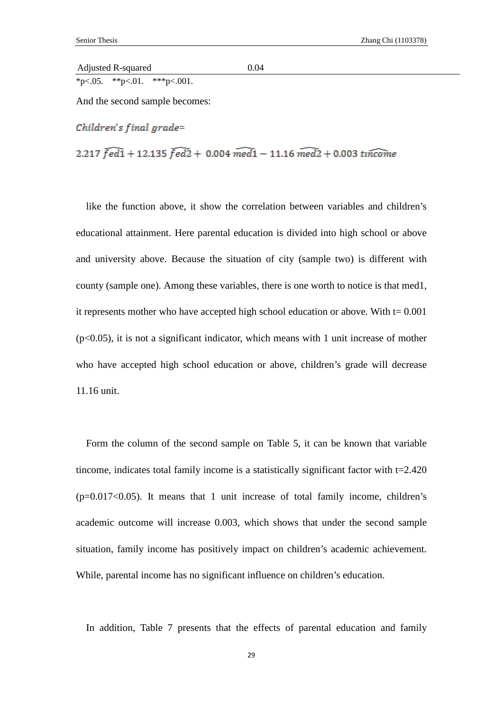## Adjusted R-squared 0.04

 $*_{p<.05}$ .  $*_{p<.01}$ .  $*_{p<.001}$ .

And the second sample becomes:

Children's final grade=

 $2.217$   $\widehat{fed1} + 12.135$   $\widehat{fed2} + 0.004$   $\widehat{med1} - 11.16$   $\widehat{med2} + 0.003$  tincome

like the function above, it show the correlation between variables and children's educational attainment. Here parental education is divided into high school or above and university above. Because the situation of city (sample two) is different with county (sample one). Among these variables, there is one worth to notice is that med1, it represents mother who have accepted high school education or above. With  $t= 0.001$  $(p<0.05)$ , it is not a significant indicator, which means with 1 unit increase of mother who have accepted high school education or above, children's grade will decrease 11.16 unit.

Form the column of the second sample on Table 5, it can be known that variable tincome, indicates total family income is a statistically significant factor with t=2.420  $(p=0.017<0.05)$ . It means that 1 unit increase of total family income, children's academic outcome will increase 0.003, which shows that under the second sample situation, family income has positively impact on children's academic achievement. While, parental income has no significant influence on children's education.

In addition, Table 7 presents that the effects of parental education and family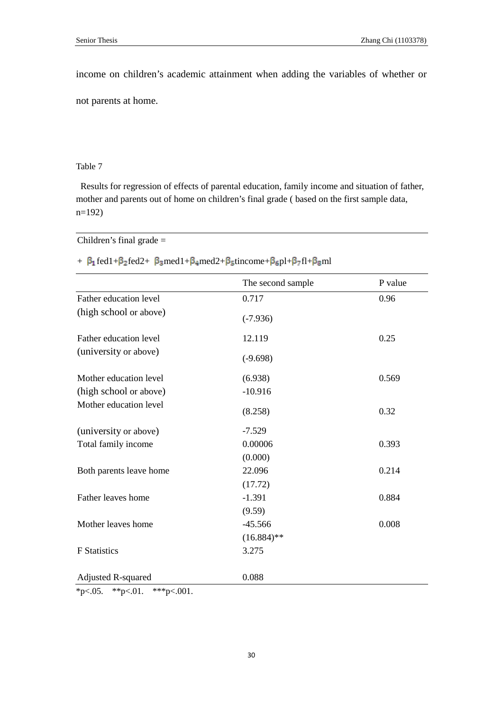income on children's academic attainment when adding the variables of whether or

not parents at home.

### Table 7

Results for regression of effects of parental education, family income and situation of father, mother and parents out of home on children's final grade ( based on the first sample data, n=192)

Children's final grade =

+  $\beta_1$  fed1+ $\beta_2$ fed2+  $\beta_3$ med1+ $\beta_4$ med2+ $\beta_5$ tincome+ $\beta_6$ pl+ $\beta_7$ fl+ $\beta_8$ ml

|                                             | The second sample | P value |
|---------------------------------------------|-------------------|---------|
| Father education level                      | 0.717             | 0.96    |
| (high school or above)                      | $(-7.936)$        |         |
| Father education level                      | 12.119            | 0.25    |
| (university or above)                       | $(-9.698)$        |         |
| Mother education level                      | (6.938)           | 0.569   |
| (high school or above)                      | $-10.916$         |         |
| Mother education level                      | (8.258)           | 0.32    |
| (university or above)                       | $-7.529$          |         |
| Total family income                         | 0.00006           | 0.393   |
|                                             | (0.000)           |         |
| Both parents leave home                     | 22.096            | 0.214   |
|                                             | (17.72)           |         |
| Father leaves home                          | $-1.391$          | 0.884   |
|                                             | (9.59)            |         |
| Mother leaves home                          | $-45.566$         | 0.008   |
|                                             | $(16.884)$ **     |         |
| <b>F</b> Statistics                         | 3.275             |         |
| <b>Adjusted R-squared</b>                   | 0.088             |         |
| *p $< 0.05$ .<br>**p $< 01$ .<br>***p<.001. |                   |         |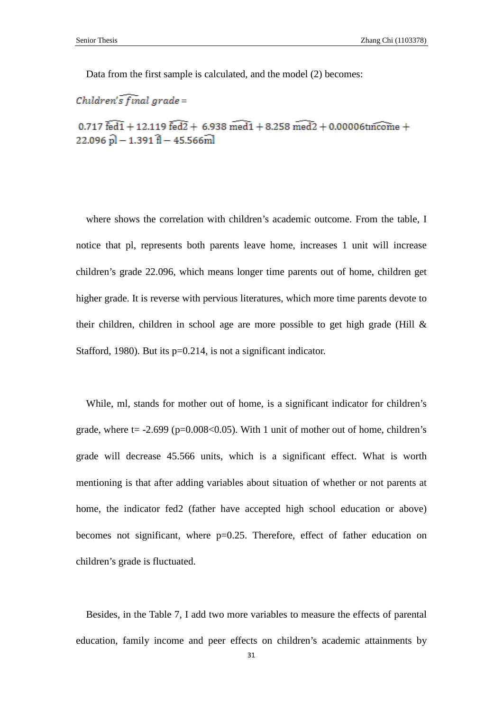Data from the first sample is calculated, and the model (2) becomes:

Children's final grade =

 $0.717 \overline{fe} d\overline{1} + 12.119 \overline{fe} d\overline{2} + 6.938 \overline{me} d\overline{1} + 8.258 \overline{me} d\overline{2} + 0.00006 \overline{t} m\overline{c} \overline{0} m$ e +  $22.096$  pl  $-1.391$  fl  $-45.566$ ml

where shows the correlation with children's academic outcome. From the table, I notice that pl, represents both parents leave home, increases 1 unit will increase children's grade 22.096, which means longer time parents out of home, children get higher grade. It is reverse with pervious literatures, which more time parents devote to their children, children in school age are more possible to get high grade (Hill  $\&$ Stafford, 1980). But its p=0.214, is not a significant indicator.

While, ml, stands for mother out of home, is a significant indicator for children's grade, where  $t = -2.699$  ( $p=0.008<0.05$ ). With 1 unit of mother out of home, children's grade will decrease 45.566 units, which is a significant effect. What is worth mentioning is that after adding variables about situation of whether or not parents at home, the indicator fed2 (father have accepted high school education or above) becomes not significant, where p=0.25. Therefore, effect of father education on children's grade is fluctuated.

Besides, in the Table 7, I add two more variables to measure the effects of parental education, family income and peer effects on children's academic attainments by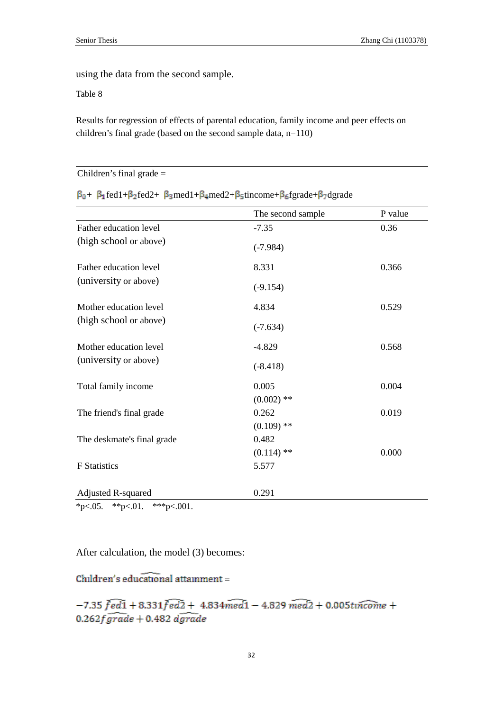using the data from the second sample.

Table 8

Results for regression of effects of parental education, family income and peer effects on children's final grade (based on the second sample data, n=110)

Children's final grade =

 $\beta_0 + \beta_1 \text{fed} 1 + \beta_2 \text{fed} 2 + \beta_3 \text{ med} 1 + \beta_4 \text{ med} 2 + \beta_5 \text{tincome} + \beta_6 \text{fgrade} + \beta_7 \text{dgrade}$ 

|                            | The second sample | P value |
|----------------------------|-------------------|---------|
| Father education level     | $-7.35$           | 0.36    |
| (high school or above)     | $(-7.984)$        |         |
| Father education level     | 8.331             | 0.366   |
| (university or above)      | $(-9.154)$        |         |
| Mother education level     | 4.834             | 0.529   |
| (high school or above)     | $(-7.634)$        |         |
| Mother education level     | $-4.829$          | 0.568   |
| (university or above)      | $(-8.418)$        |         |
| Total family income        | 0.005             | 0.004   |
|                            | $(0.002)$ **      |         |
| The friend's final grade   | 0.262             | 0.019   |
|                            | $(0.109)$ **      |         |
| The deskmate's final grade | 0.482             |         |
|                            | $(0.114)$ **      | 0.000   |
| <b>F</b> Statistics        | 5.577             |         |
|                            |                   |         |
| <b>Adjusted R-squared</b>  | 0.291             |         |

\*p<.05. \*\*p<.01. \*\*\*p<.001.

After calculation, the model (3) becomes:

Children's educational attainment =

 $-7.35 \ \widehat{fed1} + 8.331 \widehat{fed2} + 4.834 \widehat{med1} - 4.829 \ \widehat{med2} + 0.005 \widehat{t} \widehat{mod} +$  $0.262$ f grade + 0.482 dgrade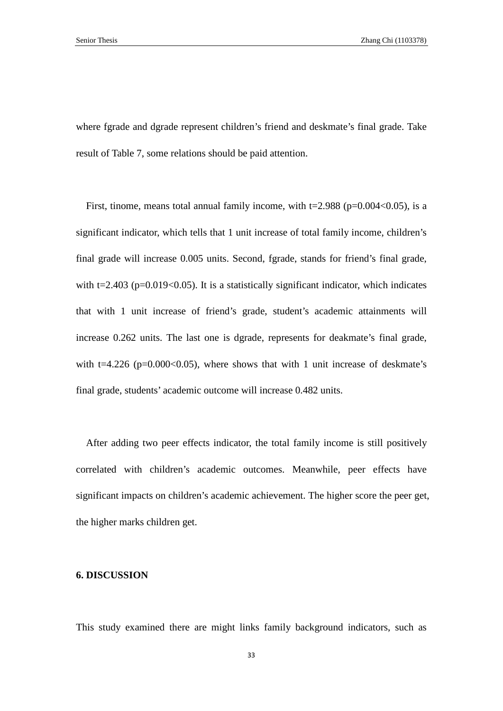where fgrade and dgrade represent children's friend and deskmate's final grade. Take result of Table 7, some relations should be paid attention.

First, tinome, means total annual family income, with t=2.988 ( $p=0.004<0.05$ ), is a significant indicator, which tells that 1 unit increase of total family income, children's final grade will increase 0.005 units. Second, fgrade, stands for friend's final grade, with  $t=2.403$  ( $p=0.019<0.05$ ). It is a statistically significant indicator, which indicates that with 1 unit increase of friend's grade, student's academic attainments will increase 0.262 units. The last one is dgrade, represents for deakmate's final grade, with t=4.226 ( $p=0.000<0.05$ ), where shows that with 1 unit increase of deskmate's final grade, students' academic outcome will increase 0.482 units.

After adding two peer effects indicator, the total family income is still positively correlated with children's academic outcomes. Meanwhile, peer effects have significant impacts on children's academic achievement. The higher score the peer get, the higher marks children get.

### **6. DISCUSSION**

This study examined there are might links family background indicators, such as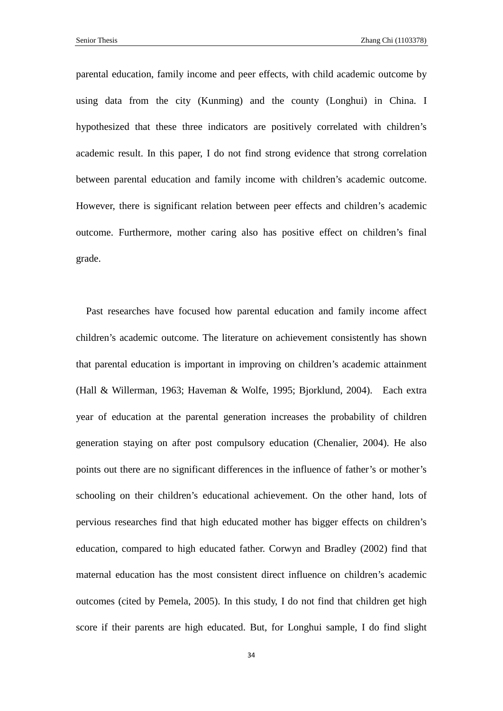parental education, family income and peer effects, with child academic outcome by using data from the city (Kunming) and the county (Longhui) in China. I hypothesized that these three indicators are positively correlated with children's academic result. In this paper, I do not find strong evidence that strong correlation between parental education and family income with children's academic outcome. However, there is significant relation between peer effects and children's academic outcome. Furthermore, mother caring also has positive effect on children's final grade.

Past researches have focused how parental education and family income affect children's academic outcome. The literature on achievement consistently has shown that parental education is important in improving on children's academic attainment (Hall & Willerman, 1963; Haveman & Wolfe, 1995; Bjorklund, 2004). Each extra year of education at the parental generation increases the probability of children generation staying on after post compulsory education (Chenalier, 2004). He also points out there are no significant differences in the influence of father's or mother's schooling on their children's educational achievement. On the other hand, lots of pervious researches find that high educated mother has bigger effects on children's education, compared to high educated father. Corwyn and Bradley (2002) find that maternal education has the most consistent direct influence on children's academic outcomes (cited by Pemela, 2005). In this study, I do not find that children get high score if their parents are high educated. But, for Longhui sample, I do find slight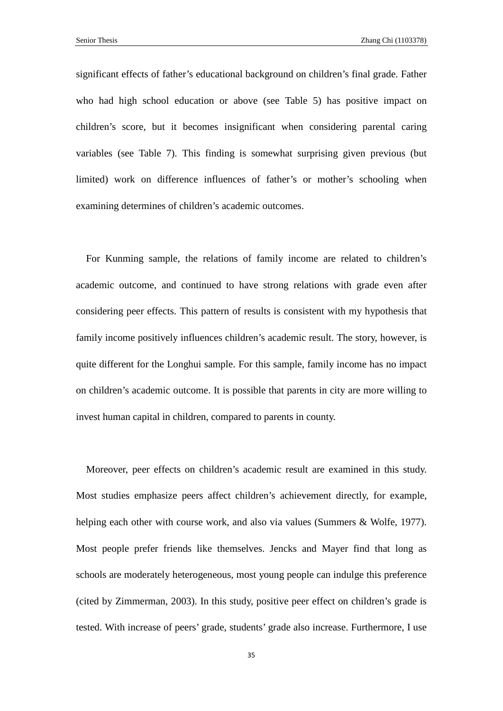significant effects of father's educational background on children's final grade. Father who had high school education or above (see Table 5) has positive impact on children's score, but it becomes insignificant when considering parental caring variables (see Table 7). This finding is somewhat surprising given previous (but limited) work on difference influences of father's or mother's schooling when examining determines of children's academic outcomes.

For Kunming sample, the relations of family income are related to children's academic outcome, and continued to have strong relations with grade even after considering peer effects. This pattern of results is consistent with my hypothesis that family income positively influences children's academic result. The story, however, is quite different for the Longhui sample. For this sample, family income has no impact on children's academic outcome. It is possible that parents in city are more willing to invest human capital in children, compared to parents in county.

Moreover, peer effects on children's academic result are examined in this study. Most studies emphasize peers affect children's achievement directly, for example, helping each other with course work, and also via values (Summers & Wolfe, 1977). Most people prefer friends like themselves. Jencks and Mayer find that long as schools are moderately heterogeneous, most young people can indulge this preference (cited by Zimmerman, 2003). In this study, positive peer effect on children's grade is tested. With increase of peers' grade, students' grade also increase. Furthermore, I use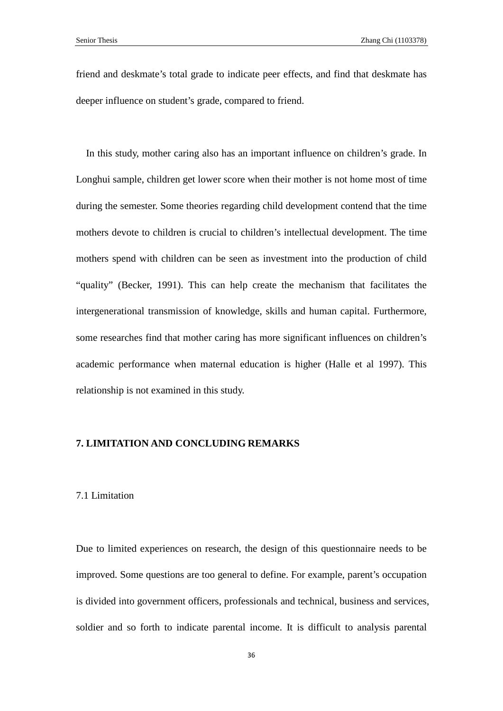friend and deskmate's total grade to indicate peer effects, and find that deskmate has deeper influence on student's grade, compared to friend.

In this study, mother caring also has an important influence on children's grade. In Longhui sample, children get lower score when their mother is not home most of time during the semester. Some theories regarding child development contend that the time mothers devote to children is crucial to children's intellectual development. The time mothers spend with children can be seen as investment into the production of child "quality" (Becker, 1991). This can help create the mechanism that facilitates the intergenerational transmission of knowledge, skills and human capital. Furthermore, some researches find that mother caring has more significant influences on children's academic performance when maternal education is higher (Halle et al 1997). This relationship is not examined in this study.

## **7. LIMITATION AND CONCLUDING REMARKS**

## 7.1 Limitation

Due to limited experiences on research, the design of this questionnaire needs to be improved. Some questions are too general to define. For example, parent's occupation is divided into government officers, professionals and technical, business and services, soldier and so forth to indicate parental income. It is difficult to analysis parental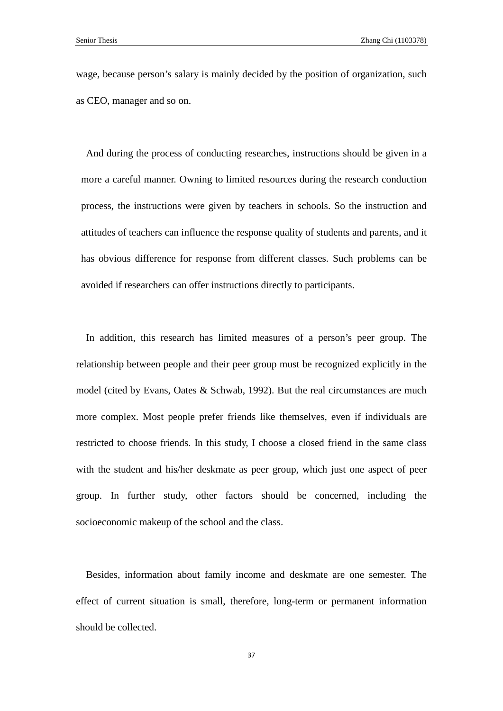wage, because person's salary is mainly decided by the position of organization, such as CEO, manager and so on.

And during the process of conducting researches, instructions should be given in a more a careful manner. Owning to limited resources during the research conduction process, the instructions were given by teachers in schools. So the instruction and attitudes of teachers can influence the response quality of students and parents, and it has obvious difference for response from different classes. Such problems can be avoided if researchers can offer instructions directly to participants.

In addition, this research has limited measures of a person's peer group. The relationship between people and their peer group must be recognized explicitly in the model (cited by Evans, Oates & Schwab, 1992). But the real circumstances are much more complex. Most people prefer friends like themselves, even if individuals are restricted to choose friends. In this study, I choose a closed friend in the same class with the student and his/her deskmate as peer group, which just one aspect of peer group. In further study, other factors should be concerned, including the socioeconomic makeup of the school and the class.

Besides, information about family income and deskmate are one semester. The effect of current situation is small, therefore, long-term or permanent information should be collected.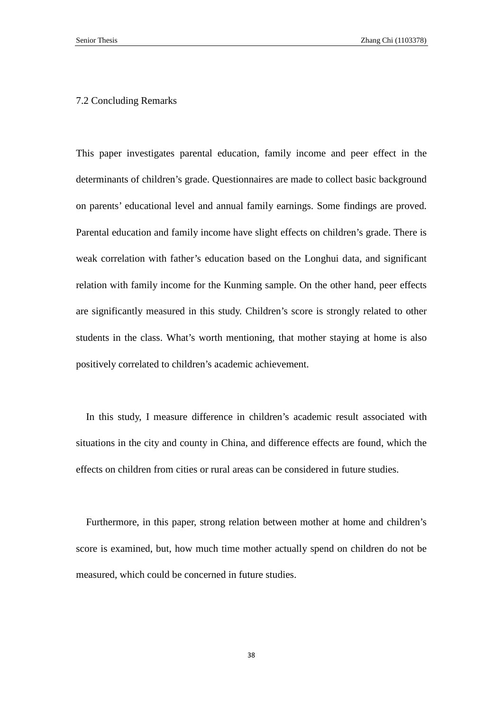#### 7.2 Concluding Remarks

This paper investigates parental education, family income and peer effect in the determinants of children's grade. Questionnaires are made to collect basic background on parents' educational level and annual family earnings. Some findings are proved. Parental education and family income have slight effects on children's grade. There is weak correlation with father's education based on the Longhui data, and significant relation with family income for the Kunming sample. On the other hand, peer effects are significantly measured in this study. Children's score is strongly related to other students in the class. What's worth mentioning, that mother staying at home is also positively correlated to children's academic achievement.

In this study, I measure difference in children's academic result associated with situations in the city and county in China, and difference effects are found, which the effects on children from cities or rural areas can be considered in future studies.

Furthermore, in this paper, strong relation between mother at home and children's score is examined, but, how much time mother actually spend on children do not be measured, which could be concerned in future studies.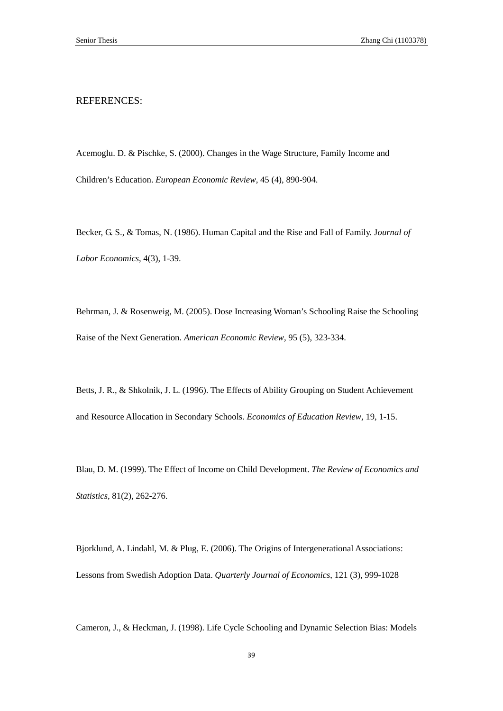#### REFERENCES:

Acemoglu. D. & Pischke, S. (2000). Changes in the Wage Structure, Family Income and Children's Education. *European Economic Review*, 45 (4), 890-904.

Becker, G. S., & Tomas, N. (1986). Human Capital and the Rise and Fall of Family. J*ournal of Labor Economics*, 4(3), 1-39.

Behrman, J. & Rosenweig, M. (2005). Dose Increasing Woman's Schooling Raise the Schooling Raise of the Next Generation. *American Economic Review*, 95 (5), 323-334.

Betts, J. R., & Shkolnik, J. L. (1996). The Effects of Ability Grouping on Student Achievement and Resource Allocation in Secondary Schools. *Economics of Education Review*, 19, 1-15.

Blau, D. M. (1999). The Effect of Income on Child Development. *The Review of Economics and Statistics*, 81(2), 262-276.

Bjorklund, A. Lindahl, M. & Plug, E. (2006). The Origins of Intergenerational Associations: Lessons from Swedish Adoption Data. *Quarterly Journal of Economics*, 121 (3), 999-1028

Cameron, J., & Heckman, J. (1998). Life Cycle Schooling and Dynamic Selection Bias: Models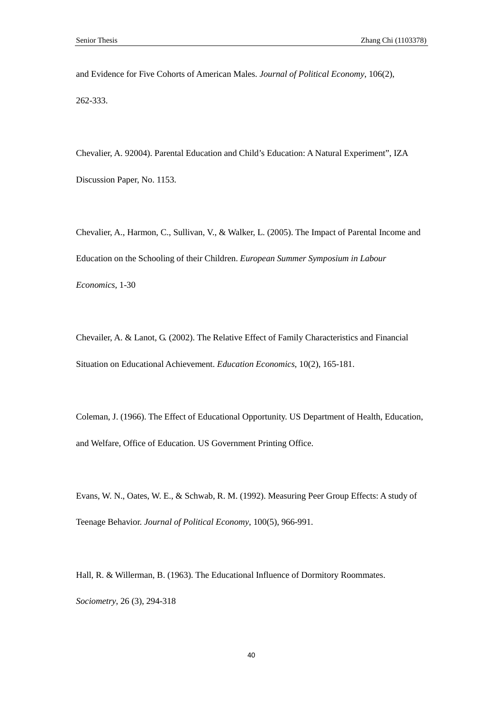and Evidence for Five Cohorts of American Males. *Journal of Political Economy*, 106(2), 262-333.

Chevalier, A. 92004). Parental Education and Child's Education: A Natural Experiment", IZA Discussion Paper, No. 1153.

Chevalier, A., Harmon, C., Sullivan, V., & Walker, L. (2005). The Impact of Parental Income and Education on the Schooling of their Children. *European Summer Symposium in Labour Economics*, 1-30

Chevailer, A. & Lanot, G. (2002). The Relative Effect of Family Characteristics and Financial Situation on Educational Achievement. *Education Economics*, 10(2), 165-181.

Coleman, J. (1966). The Effect of Educational Opportunity. US Department of Health, Education, and Welfare, Office of Education. US Government Printing Office.

Evans, W. N., Oates, W. E., & Schwab, R. M. (1992). Measuring Peer Group Effects: A study of Teenage Behavior. *Journal of Political Economy*, 100(5), 966-991.

Hall, R. & Willerman, B. (1963). The Educational Influence of Dormitory Roommates. *Sociometry*, 26 (3), 294-318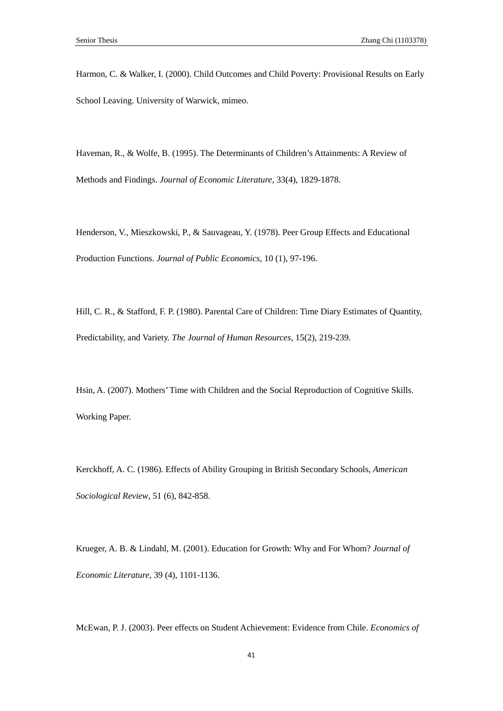Harmon, C. & Walker, I. (2000). Child Outcomes and Child Poverty: Provisional Results on Early School Leaving. University of Warwick, mimeo.

Haveman, R., & Wolfe, B. (1995). The Determinants of Children's Attainments: A Review of Methods and Findings. *Journal of Economic Literature*, 33(4), 1829-1878.

Henderson, V., Mieszkowski, P., & Sauvageau, Y. (1978). Peer Group Effects and Educational Production Functions. *Journal of Public Economics*, 10 (1), 97-196.

Hill, C. R., & Stafford, F. P. (1980). Parental Care of Children: Time Diary Estimates of Quantity, Predictability, and Variety. *The Journal of Human Resources*, 15(2), 219-239.

Hsin, A. (2007). Mothers'Time with Children and the Social Reproduction of Cognitive Skills. Working Paper.

Kerckhoff, A. C. (1986). Effects of Ability Grouping in British Secondary Schools, *American Sociological Review*, 51 (6), 842-858.

Krueger, A. B. & Lindahl, M. (2001). Education for Growth: Why and For Whom? *Journal of Economic Literature*, 39 (4), 1101-1136.

McEwan, P. J. (2003). Peer effects on Student Achievement: Evidence from Chile. *Economics of*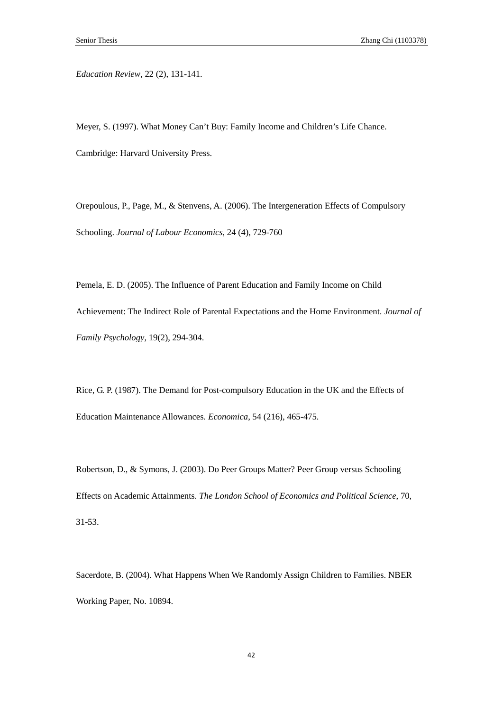*Education Review*, 22 (2), 131-141.

Meyer, S. (1997). What Money Can't Buy: Family Income and Children's Life Chance. Cambridge: Harvard University Press.

Orepoulous, P., Page, M., & Stenvens, A. (2006). The Intergeneration Effects of Compulsory Schooling. *Journal of Labour Economics*, 24 (4), 729-760

Pemela, E. D. (2005). The Influence of Parent Education and Family Income on Child Achievement: The Indirect Role of Parental Expectations and the Home Environment. *Journal of Family Psychology*, 19(2), 294-304.

Rice, G. P. (1987). The Demand for Post-compulsory Education in the UK and the Effects of Education Maintenance Allowances. *Economica*, 54 (216), 465-475.

Robertson, D., & Symons, J. (2003). Do Peer Groups Matter? Peer Group versus Schooling Effects on Academic Attainments. *The London School of Economics and Political Science*, 70, 31-53.

Sacerdote, B. (2004). What Happens When We Randomly Assign Children to Families. NBER Working Paper, No. 10894.